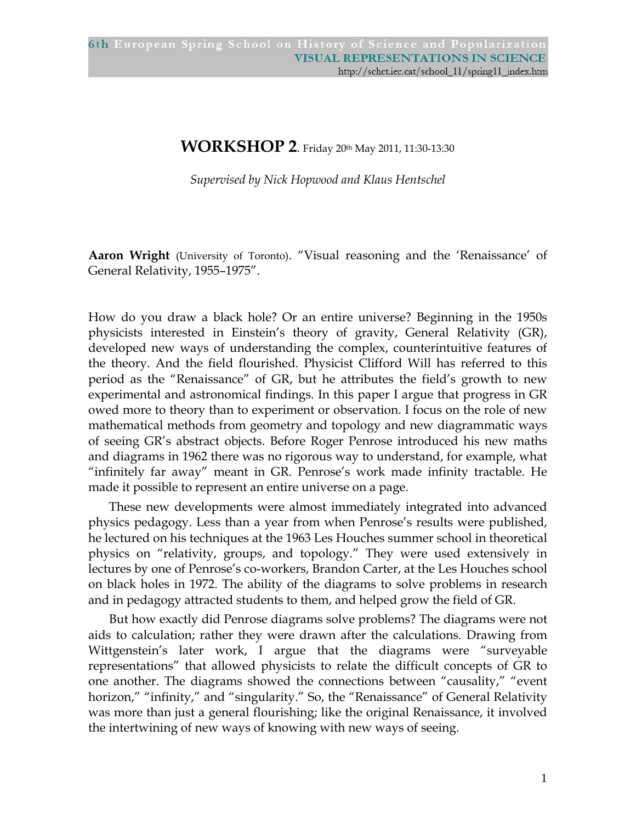## **WORKSHOP 2**. Friday 20th May 2011, 11:30-13:30

*Supervised by Nick Hopwood and Klaus Hentschel* 

**Aaron Wright** (University of Toronto). "Visual reasoning and the 'Renaissance' of General Relativity, 1955–1975".

How do you draw a black hole? Or an entire universe? Beginning in the 1950s physicists interested in Einstein's theory of gravity, General Relativity (GR), developed new ways of understanding the complex, counterintuitive features of the theory. And the field flourished. Physicist Clifford Will has referred to this period as the "Renaissance" of GR, but he attributes the field's growth to new experimental and astronomical findings. In this paper I argue that progress in GR owed more to theory than to experiment or observation. I focus on the role of new mathematical methods from geometry and topology and new diagrammatic ways of seeing GR's abstract objects. Before Roger Penrose introduced his new maths and diagrams in 1962 there was no rigorous way to understand, for example, what "infinitely far away" meant in GR. Penrose's work made infinity tractable. He made it possible to represent an entire universe on a page.

These new developments were almost immediately integrated into advanced physics pedagogy. Less than a year from when Penrose's results were published, he lectured on his techniques at the 1963 Les Houches summer school in theoretical physics on "relativity, groups, and topology." They were used extensively in lectures by one of Penrose's co-workers, Brandon Carter, at the Les Houches school on black holes in 1972. The ability of the diagrams to solve problems in research and in pedagogy attracted students to them, and helped grow the field of GR.

But how exactly did Penrose diagrams solve problems? The diagrams were not aids to calculation; rather they were drawn after the calculations. Drawing from Wittgenstein's later work, I argue that the diagrams were "surveyable representations" that allowed physicists to relate the difficult concepts of GR to one another. The diagrams showed the connections between "causality," "event horizon," "infinity," and "singularity." So, the "Renaissance" of General Relativity was more than just a general flourishing; like the original Renaissance, it involved the intertwining of new ways of knowing with new ways of seeing.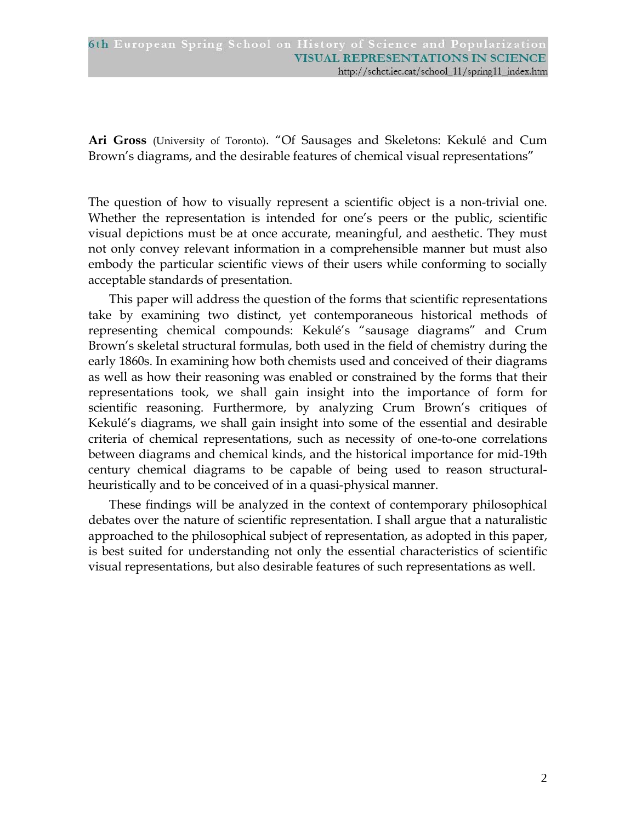**Ari Gross** (University of Toronto). "Of Sausages and Skeletons: Kekulé and Cum Brown's diagrams, and the desirable features of chemical visual representations"

The question of how to visually represent a scientific object is a non-trivial one. Whether the representation is intended for one's peers or the public, scientific visual depictions must be at once accurate, meaningful, and aesthetic. They must not only convey relevant information in a comprehensible manner but must also embody the particular scientific views of their users while conforming to socially acceptable standards of presentation.

This paper will address the question of the forms that scientific representations take by examining two distinct, yet contemporaneous historical methods of representing chemical compounds: Kekulé's "sausage diagrams" and Crum Brown's skeletal structural formulas, both used in the field of chemistry during the early 1860s. In examining how both chemists used and conceived of their diagrams as well as how their reasoning was enabled or constrained by the forms that their representations took, we shall gain insight into the importance of form for scientific reasoning. Furthermore, by analyzing Crum Brown's critiques of Kekulé's diagrams, we shall gain insight into some of the essential and desirable criteria of chemical representations, such as necessity of one-to-one correlations between diagrams and chemical kinds, and the historical importance for mid-19th century chemical diagrams to be capable of being used to reason structuralheuristically and to be conceived of in a quasi-physical manner.

These findings will be analyzed in the context of contemporary philosophical debates over the nature of scientific representation. I shall argue that a naturalistic approached to the philosophical subject of representation, as adopted in this paper, is best suited for understanding not only the essential characteristics of scientific visual representations, but also desirable features of such representations as well.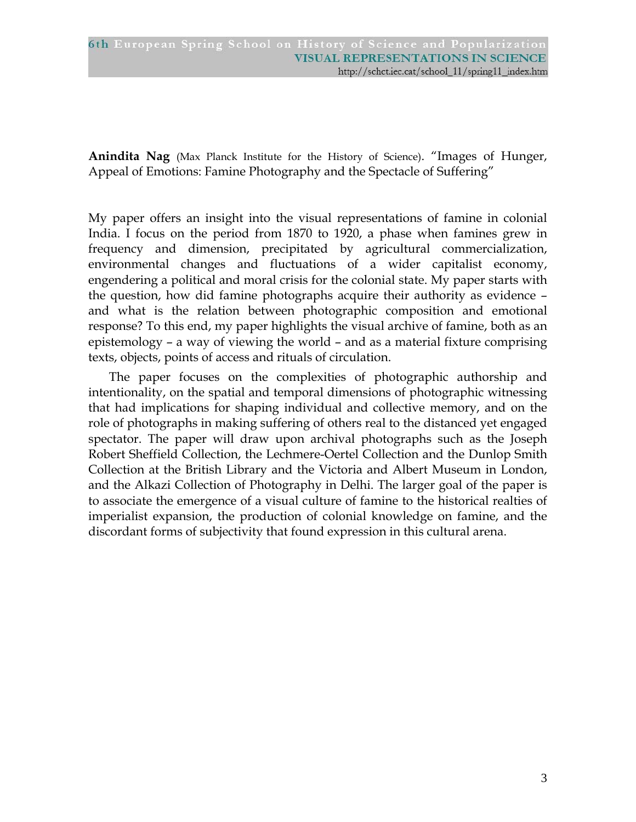**Anindita Nag** (Max Planck Institute for the History of Science). "Images of Hunger, Appeal of Emotions: Famine Photography and the Spectacle of Suffering"

My paper offers an insight into the visual representations of famine in colonial India. I focus on the period from 1870 to 1920, a phase when famines grew in frequency and dimension, precipitated by agricultural commercialization, environmental changes and fluctuations of a wider capitalist economy, engendering a political and moral crisis for the colonial state. My paper starts with the question, how did famine photographs acquire their authority as evidence – and what is the relation between photographic composition and emotional response? To this end, my paper highlights the visual archive of famine, both as an epistemology – a way of viewing the world – and as a material fixture comprising texts, objects, points of access and rituals of circulation.

The paper focuses on the complexities of photographic authorship and intentionality, on the spatial and temporal dimensions of photographic witnessing that had implications for shaping individual and collective memory, and on the role of photographs in making suffering of others real to the distanced yet engaged spectator. The paper will draw upon archival photographs such as the Joseph Robert Sheffield Collection, the Lechmere-Oertel Collection and the Dunlop Smith Collection at the British Library and the Victoria and Albert Museum in London, and the Alkazi Collection of Photography in Delhi. The larger goal of the paper is to associate the emergence of a visual culture of famine to the historical realties of imperialist expansion, the production of colonial knowledge on famine, and the discordant forms of subjectivity that found expression in this cultural arena.